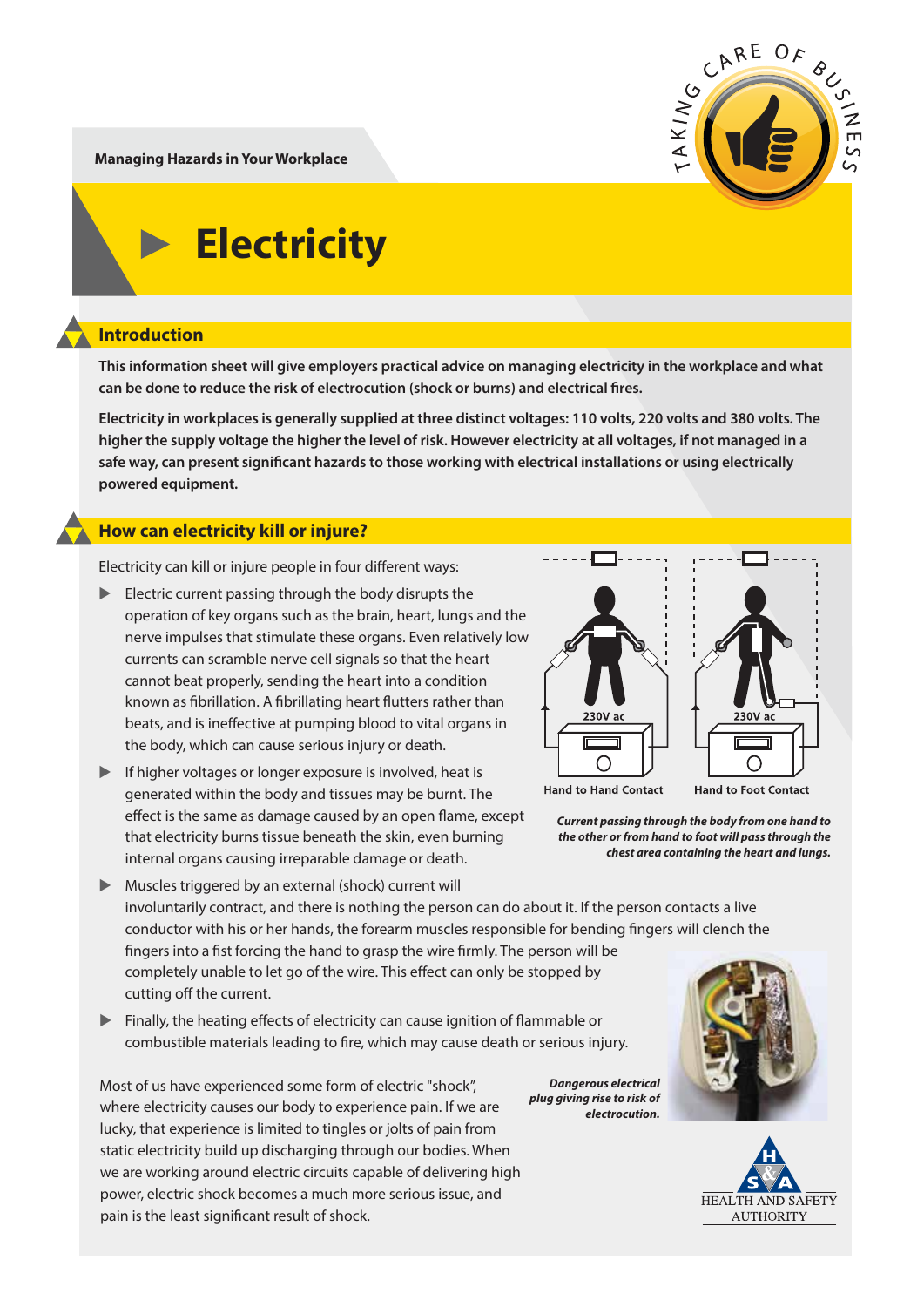CARE OF  $AKIN$  $\frac{2}{\pi}$ 

**Managing Hazards in Your Workplace**

# **Electricity**

# **Introduction**

**This information sheet will give employers practical advice on managing electricity in the workplace and what**  can be done to reduce the risk of electrocution (shock or burns) and electrical fires.

**Electricity in workplaces is generally supplied at three distinct voltages: 110 volts, 220 volts and 380 volts. The higher the supply voltage the higher the level of risk. However electricity at all voltages, if not managed in a**  safe way, can present significant hazards to those working with electrical installations or using electrically **powered equipment.** 

# **How can electricity kill or injure?**

Electricity can kill or injure people in four different ways:

- Electric current passing through the body disrupts the operation of key organs such as the brain, heart, lungs and the nerve impulses that stimulate these organs. Even relatively low currents can scramble nerve cell signals so that the heart cannot beat properly, sending the heart into a condition known as fibrillation. A fibrillating heart flutters rather than beats, and is ineffective at pumping blood to vital organs in the body, which can cause serious injury or death.
- ▲ If higher voltages or longer exposure is involved, heat is generated within the body and tissues may be burnt. The effect is the same as damage caused by an open flame, except that electricity burns tissue beneath the skin, even burning internal organs causing irreparable damage or death.
- ▲ Muscles triggered by an external (shock) current will involuntarily contract, and there is nothing the person can do about it. If the person contacts a live conductor with his or her hands, the forearm muscles responsible for bending fingers will clench the fingers into a fist forcing the hand to grasp the wire firmly. The person will be completely unable to let go of the wire. This effect can only be stopped by cutting off the current.
- $\blacktriangleright$  Finally, the heating effects of electricity can cause ignition of flammable or combustible materials leading to fire, which may cause death or serious injury.

Most of us have experienced some form of electric "shock", where electricity causes our body to experience pain. If we are lucky, that experience is limited to tingles or jolts of pain from static electricity build up discharging through our bodies. When we are working around electric circuits capable of delivering high power, electric shock becomes a much more serious issue, and pain is the least significant result of shock.



**Hand to Hand Contact** 

*Current passing through the body from one hand to the other or from hand to foot will pass through the chest area containing the heart and lungs.*

*plug giving rise to risk of electrocution.*



**Hand to Foot Contact** 



*Dangerous electrical*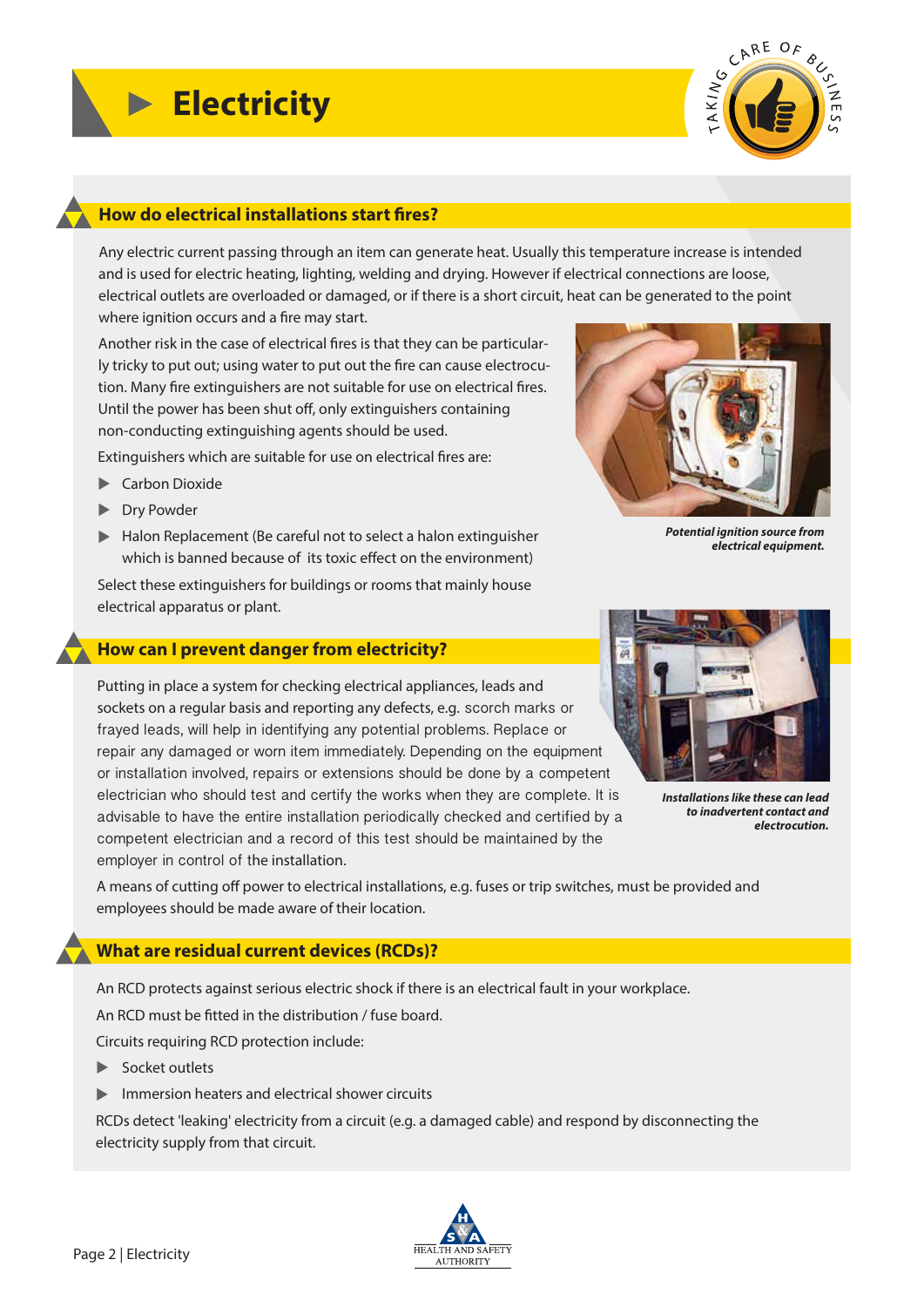

# **How do electrical installations start fires?**

Any electric current passing through an item can generate heat. Usually this temperature increase is intended and is used for electric heating, lighting, welding and drying. However if electrical connections are loose, electrical outlets are overloaded or damaged, or if there is a short circuit, heat can be generated to the point where ignition occurs and a fire may start.

Another risk in the case of electrical fires is that they can be particularly tricky to put out; using water to put out the fire can cause electrocution. Many fire extinguishers are not suitable for use on electrical fires. Until the power has been shut off, only extinguishers containing non-conducting extinguishing agents should be used.

Extinguishers which are suitable for use on electrical fires are:

- **Exercise** Carbon Dioxide
- ▶ Dry Powder
- ▶ Halon Replacement (Be careful not to select a halon extinguisher which is banned because of its toxic effect on the environment)

Select these extinguishers for buildings or rooms that mainly house electrical apparatus or plant.

#### **How can I prevent danger from electricity?**

Putting in place a system for checking electrical appliances, leads and sockets on a regular basis and reporting any defects, e.g. scorch marks or frayed leads, will help in identifying any potential problems. Replace or repair any damaged or worn item immediately. Depending on the equipment or installation involved, repairs or extensions should be done by a competent electrician who should test and certify the works when they are complete. It is advisable to have the entire installation periodically checked and certified by a competent electrician and a record of this test should be maintained by the employer in control of the installation.



*Installations like these can lead to inadvertent contact and electrocution.*

*electrical equipment.*

A means of cutting off power to electrical installations, e.g. fuses or trip switches, must be provided and employees should be made aware of their location.

### **What are residual current devices (RCDs)?**

An RCD protects against serious electric shock if there is an electrical fault in your workplace.

An RCD must be fitted in the distribution / fuse board.

Circuits requiring RCD protection include:

- ▶ Socket outlets
- ▲ Immersion heaters and electrical shower circuits

RCDs detect 'leaking' electricity from a circuit (e.g. a damaged cable) and respond by disconnecting the electricity supply from that circuit.